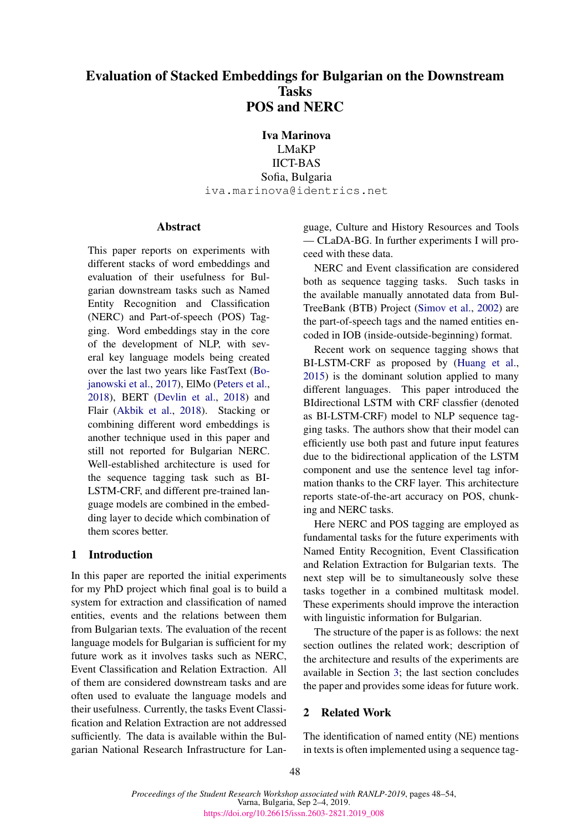# Evaluation of Stacked Embeddings for Bulgarian on the Downstream **Tasks** POS and NERC

Iva Marinova

LMaKP IICT-BAS Sofia, Bulgaria iva.marinova@identrics.net

# Abstract

This paper reports on experiments with different stacks of word embeddings and evaluation of their usefulness for Bulgarian downstream tasks such as Named Entity Recognition and Classification (NERC) and Part-of-speech (POS) Tagging. Word embeddings stay in the core of the development of NLP, with several key language models being created over the last two years like FastText [\(Bo](#page-5-0)[janowski et al.,](#page-5-0) [2017\)](#page-5-0), ElMo [\(Peters et al.,](#page-5-1) [2018\)](#page-5-1), BERT [\(Devlin et al.,](#page-5-2) [2018\)](#page-5-2) and Flair [\(Akbik et al.,](#page-5-3) [2018\)](#page-5-3). Stacking or combining different word embeddings is another technique used in this paper and still not reported for Bulgarian NERC. Well-established architecture is used for the sequence tagging task such as BI-LSTM-CRF, and different pre-trained language models are combined in the embedding layer to decide which combination of them scores better.

# 1 Introduction

In this paper are reported the initial experiments for my PhD project which final goal is to build a system for extraction and classification of named entities, events and the relations between them from Bulgarian texts. The evaluation of the recent language models for Bulgarian is sufficient for my future work as it involves tasks such as NERC, Event Classification and Relation Extraction. All of them are considered downstream tasks and are often used to evaluate the language models and their usefulness. Currently, the tasks Event Classification and Relation Extraction are not addressed sufficiently. The data is available within the Bulgarian National Research Infrastructure for Lan-

guage, Culture and History Resources and Tools — CLaDA-BG. In further experiments I will proceed with these data.

NERC and Event classification are considered both as sequence tagging tasks. Such tasks in the available manually annotated data from Bul-TreeBank (BTB) Project [\(Simov et al.,](#page-6-0) [2002\)](#page-6-0) are the part-of-speech tags and the named entities encoded in IOB (inside-outside-beginning) format.

Recent work on sequence tagging shows that BI-LSTM-CRF as proposed by [\(Huang et al.,](#page-5-4) [2015\)](#page-5-4) is the dominant solution applied to many different languages. This paper introduced the BIdirectional LSTM with CRF classfier (denoted as BI-LSTM-CRF) model to NLP sequence tagging tasks. The authors show that their model can efficiently use both past and future input features due to the bidirectional application of the LSTM component and use the sentence level tag information thanks to the CRF layer. This architecture reports state-of-the-art accuracy on POS, chunking and NERC tasks.

Here NERC and POS tagging are employed as fundamental tasks for the future experiments with Named Entity Recognition, Event Classification and Relation Extraction for Bulgarian texts. The next step will be to simultaneously solve these tasks together in a combined multitask model. These experiments should improve the interaction with linguistic information for Bulgarian.

The structure of the paper is as follows: the next section outlines the related work; description of the architecture and results of the experiments are available in Section [3;](#page-1-0) the last section concludes the paper and provides some ideas for future work.

# 2 Related Work

The identification of named entity (NE) mentions in texts is often implemented using a sequence tag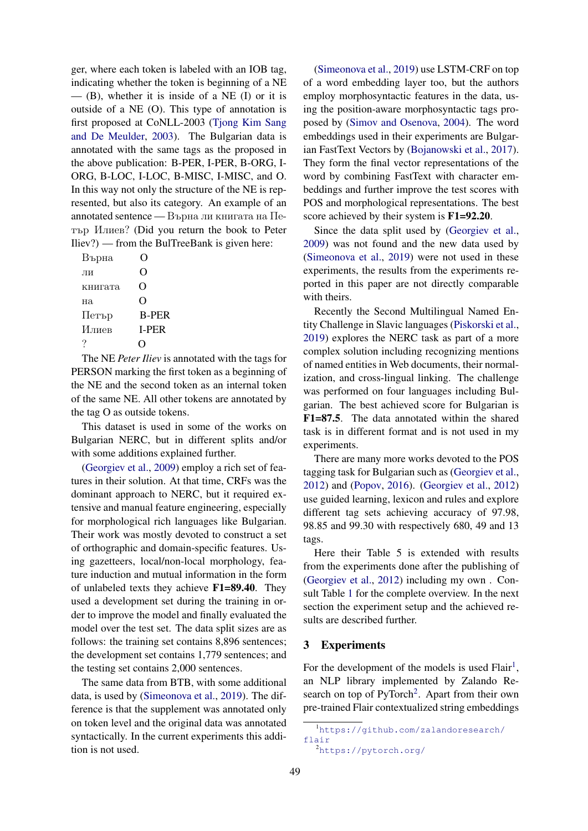ger, where each token is labeled with an IOB tag, indicating whether the token is beginning of a NE  $-$  (B), whether it is inside of a NE (I) or it is outside of a NE (O). This type of annotation is first proposed at CoNLL-2003 [\(Tjong Kim Sang](#page-6-1) [and De Meulder,](#page-6-1) [2003\)](#page-6-1). The Bulgarian data is annotated with the same tags as the proposed in the above publication: B-PER, I-PER, B-ORG, I-ORG, B-LOC, I-LOC, B-MISC, I-MISC, and O. In this way not only the structure of the NE is represented, but also its category. An example of an annotated sentence — Върна ли книгата на Петър Илиев? (Did you return the book to Peter Iliev?) — from the BulTreeBank is given here:

| Върна          |                    |
|----------------|--------------------|
| ЛИ             | 0                  |
| книгата        | $\left( \ \right)$ |
| H <sub>a</sub> | 0                  |
| Петър          | <b>B-PER</b>       |
| Илиев          | <b>I-PER</b>       |
|                |                    |
|                |                    |

The NE *Peter Iliev* is annotated with the tags for PERSON marking the first token as a beginning of the NE and the second token as an internal token of the same NE. All other tokens are annotated by the tag O as outside tokens.

This dataset is used in some of the works on Bulgarian NERC, but in different splits and/or with some additions explained further.

[\(Georgiev et al.,](#page-5-5) [2009\)](#page-5-5) employ a rich set of features in their solution. At that time, CRFs was the dominant approach to NERC, but it required extensive and manual feature engineering, especially for morphological rich languages like Bulgarian. Their work was mostly devoted to construct a set of orthographic and domain-specific features. Using gazetteers, local/non-local morphology, feature induction and mutual information in the form of unlabeled texts they achieve F1=89.40. They used a development set during the training in order to improve the model and finally evaluated the model over the test set. The data split sizes are as follows: the training set contains 8,896 sentences; the development set contains 1,779 sentences; and the testing set contains 2,000 sentences.

The same data from BTB, with some additional data, is used by [\(Simeonova et al.,](#page-6-2) [2019\)](#page-6-2). The difference is that the supplement was annotated only on token level and the original data was annotated syntactically. In the current experiments this addition is not used.

[\(Simeonova et al.,](#page-6-2) [2019\)](#page-6-2) use LSTM-CRF on top of a word embedding layer too, but the authors employ morphosyntactic features in the data, using the position-aware morphosyntactic tags proposed by [\(Simov and Osenova,](#page-6-3) [2004\)](#page-6-3). The word embeddings used in their experiments are Bulgarian FastText Vectors by [\(Bojanowski et al.,](#page-5-0) [2017\)](#page-5-0). They form the final vector representations of the word by combining FastText with character embeddings and further improve the test scores with POS and morphological representations. The best score achieved by their system is  $F1=92.20$ .

Since the data split used by [\(Georgiev et al.,](#page-5-5) [2009\)](#page-5-5) was not found and the new data used by [\(Simeonova et al.,](#page-6-2) [2019\)](#page-6-2) were not used in these experiments, the results from the experiments reported in this paper are not directly comparable with theirs.

Recently the Second Multilingual Named Entity Challenge in Slavic languages [\(Piskorski et al.,](#page-5-6) [2019\)](#page-5-6) explores the NERC task as part of a more complex solution including recognizing mentions of named entities in Web documents, their normalization, and cross-lingual linking. The challenge was performed on four languages including Bulgarian. The best achieved score for Bulgarian is F1=87.5. The data annotated within the shared task is in different format and is not used in my experiments.

There are many more works devoted to the POS tagging task for Bulgarian such as [\(Georgiev et al.,](#page-5-7) [2012\)](#page-5-7) and [\(Popov,](#page-5-8) [2016\)](#page-5-8). [\(Georgiev et al.,](#page-5-7) [2012\)](#page-5-7) use guided learning, lexicon and rules and explore different tag sets achieving accuracy of 97.98, 98.85 and 99.30 with respectively 680, 49 and 13 tags.

Here their Table 5 is extended with results from the experiments done after the publishing of [\(Georgiev et al.,](#page-5-7) [2012\)](#page-5-7) including my own . Consult Table [1](#page-2-0) for the complete overview. In the next section the experiment setup and the achieved results are described further.

#### <span id="page-1-0"></span>3 Experiments

For the development of the models is used  $Flair<sup>1</sup>$  $Flair<sup>1</sup>$  $Flair<sup>1</sup>$ , an NLP library implemented by Zalando Re-search on top of PyTorch<sup>[2](#page-1-2)</sup>. Apart from their own pre-trained Flair contextualized string embeddings

<span id="page-1-1"></span><sup>1</sup>[https://github.com/zalandoresearch/](https://github.com/zalandoresearch/flair) [flair](https://github.com/zalandoresearch/flair)

<span id="page-1-2"></span><sup>2</sup><https://pytorch.org/>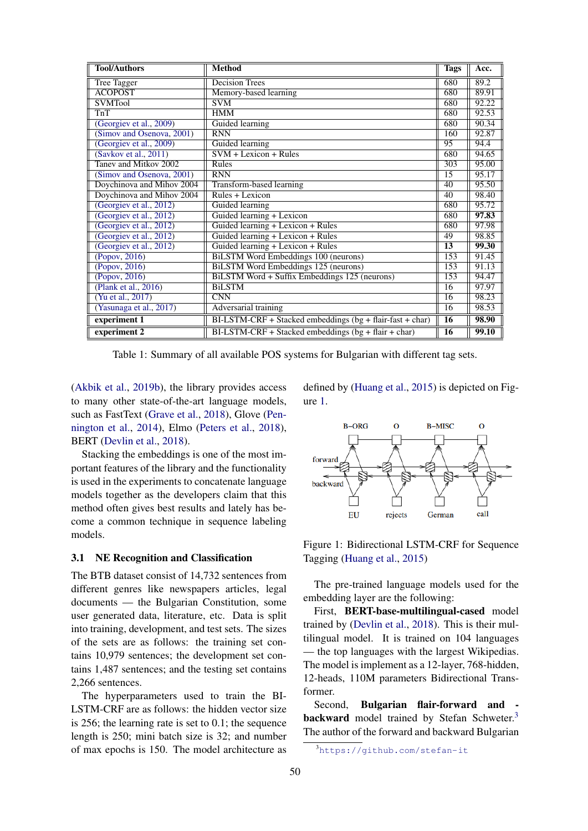| <b>Tool/Authors</b>       | <b>Method</b>                                             | <b>Tags</b>     | Acc.  |
|---------------------------|-----------------------------------------------------------|-----------------|-------|
| Tree Tagger               | <b>Decision Trees</b>                                     |                 | 89.2  |
| <b>ACOPOST</b>            | Memory-based learning                                     |                 | 89.91 |
| <b>SVMTool</b>            | <b>SVM</b>                                                | 680             | 92.22 |
| TnT                       | <b>HMM</b>                                                | 680             | 92.53 |
| (Georgiev et al., 2009)   | Guided learning                                           | 680             | 90.34 |
| (Simov and Osenova, 2001) | <b>RNN</b>                                                | 160             | 92.87 |
| (Georgiev et al., 2009)   | Guided learning                                           | 95              | 94.4  |
| (Savkov et al., 2011)     | $SVM + Lexicon + Rules$                                   | 680             | 94.65 |
| Tanev and Mitkov 2002     | Rules                                                     | 303             | 95.00 |
| (Simov and Osenova, 2001) | <b>RNN</b>                                                | 15              | 95.17 |
| Doychinova and Mihov 2004 | Transform-based learning                                  | $\overline{40}$ | 95.50 |
| Doychinova and Mihov 2004 | $Rules + Lexicon$                                         | 40              | 98.40 |
| (Georgiev et al., 2012)   | Guided learning                                           | 680             | 95.72 |
| (Georgiev et al., 2012)   | Guided learning + Lexicon                                 |                 | 97.83 |
| (Georgiev et al., 2012)   | Guided learning + Lexicon + Rules                         |                 | 97.98 |
| (Georgiev et al., 2012)   | Guided learning + Lexicon + Rules                         | 49              | 98.85 |
| (Georgiev et al., 2012)   | Guided learning + Lexicon + Rules                         |                 | 99.30 |
| (Popov, 2016)             | <b>BiLSTM</b> Word Embeddings 100 (neurons)               | 153             | 91.45 |
| (Popov, 2016)             | <b>BiLSTM Word Embeddings 125 (neurons)</b>               | 153             | 91.13 |
| $(\text{Popov}, 2016)$    | BiLSTM Word + Suffix Embeddings 125 (neurons)             | 153             | 94.47 |
| (Plank et al., 2016)      | <b>BiLSTM</b>                                             | 16              | 97.97 |
| (Yu et al., 2017)         | <b>CNN</b>                                                | 16              | 98.23 |
| (Yasunaga et al., 2017)   | Adversarial training                                      | $\overline{16}$ | 98.53 |
| experiment 1              | BI-LSTM-CRF + Stacked embeddings (bg + flair-fast + char) | $\overline{16}$ | 98.90 |
| experiment 2              | $BI-LSTM-CRF + Stacked embeddings (bg + flair + char)$    | $\overline{16}$ | 99.10 |

<span id="page-2-0"></span>Table 1: Summary of all available POS systems for Bulgarian with different tag sets.

[\(Akbik et al.,](#page-5-10) [2019b\)](#page-5-10), the library provides access to many other state-of-the-art language models, such as FastText [\(Grave et al.,](#page-5-11) [2018\)](#page-5-11), Glove [\(Pen](#page-5-12)[nington et al.,](#page-5-12) [2014\)](#page-5-12), Elmo [\(Peters et al.,](#page-5-1) [2018\)](#page-5-1), BERT [\(Devlin et al.,](#page-5-2) [2018\)](#page-5-2).

Stacking the embeddings is one of the most important features of the library and the functionality is used in the experiments to concatenate language models together as the developers claim that this method often gives best results and lately has become a common technique in sequence labeling models.

#### 3.1 NE Recognition and Classification

The BTB dataset consist of 14,732 sentences from different genres like newspapers articles, legal documents — the Bulgarian Constitution, some user generated data, literature, etc. Data is split into training, development, and test sets. The sizes of the sets are as follows: the training set contains 10,979 sentences; the development set contains 1,487 sentences; and the testing set contains 2,266 sentences.

The hyperparameters used to train the BI-LSTM-CRF are as follows: the hidden vector size is 256; the learning rate is set to 0.1; the sequence length is 250; mini batch size is 32; and number of max epochs is 150. The model architecture as defined by [\(Huang et al.,](#page-5-4) [2015\)](#page-5-4) is depicted on Figure [1.](#page-2-1)



<span id="page-2-1"></span>Figure 1: Bidirectional LSTM-CRF for Sequence Tagging [\(Huang et al.,](#page-5-4) [2015\)](#page-5-4)

The pre-trained language models used for the embedding layer are the following:

First, BERT-base-multilingual-cased model trained by [\(Devlin et al.,](#page-5-2) [2018\)](#page-5-2). This is their multilingual model. It is trained on 104 languages — the top languages with the largest Wikipedias. The model is implement as a 12-layer, 768-hidden, 12-heads, 110M parameters Bidirectional Transformer.

Second, Bulgarian flair-forward and - backward model trained by Stefan Schweter.<sup>[3](#page-2-2)</sup> The author of the forward and backward Bulgarian

<span id="page-2-2"></span><sup>3</sup><https://github.com/stefan-it>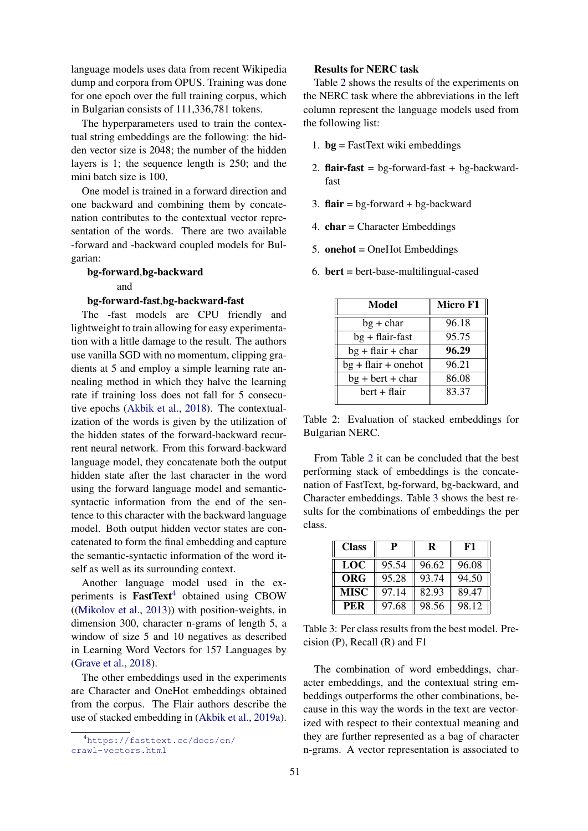language models uses data from recent Wikipedia dump and corpora from OPUS. Training was done for one epoch over the full training corpus, which in Bulgarian consists of 111,336,781 tokens.

The hyperparameters used to train the contextual string embeddings are the following: the hidden vector size is 2048; the number of the hidden layers is 1; the sequence length is 250; and the mini batch size is 100,

One model is trained in a forward direction and one backward and combining them by concatenation contributes to the contextual vector representation of the words. There are two available -forward and -backward coupled models for Bulgarian:

# bg-forward,bg-backward and

#### bg-forward-fast,bg-backward-fast

The -fast models are CPU friendly and lightweight to train allowing for easy experimentation with a little damage to the result. The authors use vanilla SGD with no momentum, clipping gradients at 5 and employ a simple learning rate annealing method in which they halve the learning rate if training loss does not fall for 5 consecutive epochs [\(Akbik et al.,](#page-5-3) [2018\)](#page-5-3). The contextualization of the words is given by the utilization of the hidden states of the forward-backward recurrent neural network. From this forward-backward language model, they concatenate both the output hidden state after the last character in the word using the forward language model and semanticsyntactic information from the end of the sentence to this character with the backward language model. Both output hidden vector states are concatenated to form the final embedding and capture the semantic-syntactic information of the word itself as well as its surrounding context.

Another language model used in the experiments is  $FastText<sup>4</sup> obtained using CBOW$  $FastText<sup>4</sup> obtained using CBOW$  $FastText<sup>4</sup> obtained using CBOW$ ([\(Mikolov et al.,](#page-5-13) [2013\)](#page-5-13)) with position-weights, in dimension 300, character n-grams of length 5, a window of size 5 and 10 negatives as described in Learning Word Vectors for 157 Languages by [\(Grave et al.,](#page-5-11) [2018\)](#page-5-11).

The other embeddings used in the experiments are Character and OneHot embeddings obtained from the corpus. The Flair authors describe the use of stacked embedding in [\(Akbik et al.,](#page-5-14) [2019a\)](#page-5-14).

## Results for NERC task

Table [2](#page-3-1) shows the results of the experiments on the NERC task where the abbreviations in the left column represent the language models used from the following list:

- 1.  $bg = FastText$  wiki embeddings
- 2. flair-fast =  $bg$ -forward-fast +  $bg$ -backwardfast
- 3. **flair** =  $bg$ -forward +  $bg$ -backward
- 4.  $char = Character Embeddings$
- 5. onehot = OneHot Embeddings
- 6.  $bert = bert$ -base-multilingual-cased

| <b>Model</b>          | Micro F1 |  |
|-----------------------|----------|--|
| $bg + char$           | 96.18    |  |
| $bg + flair-fast$     | 95.75    |  |
| $bg + flair + char$   | 96.29    |  |
| $bg + flair + onehot$ | 96.21    |  |
| $bg + bert + char$    | 86.08    |  |
| bert + flair          | 83.37    |  |
|                       |          |  |

<span id="page-3-1"></span>Table 2: Evaluation of stacked embeddings for Bulgarian NERC.

From Table [2](#page-3-1) it can be concluded that the best performing stack of embeddings is the concatenation of FastText, bg-forward, bg-backward, and Character embeddings. Table [3](#page-3-2) shows the best results for the combinations of embeddings the per class.

| <b>Class</b> | P     | R     | F1    |
|--------------|-------|-------|-------|
| <b>LOC</b>   | 95.54 | 96.62 | 96.08 |
| <b>ORG</b>   | 95.28 | 93.74 | 94.50 |
| <b>MISC</b>  | 97.14 | 82.93 | 89.47 |
| <b>PER</b>   | 97.68 | 98.56 | 98.12 |

<span id="page-3-2"></span>Table 3: Per class results from the best model. Precision (P), Recall (R) and F1

The combination of word embeddings, character embeddings, and the contextual string embeddings outperforms the other combinations, because in this way the words in the text are vectorized with respect to their contextual meaning and they are further represented as a bag of character n-grams. A vector representation is associated to

<span id="page-3-0"></span><sup>4</sup>[https://fasttext.cc/docs/en/](https://fasttext.cc/docs/en/crawl-vectors.html) [crawl-vectors.html](https://fasttext.cc/docs/en/crawl-vectors.html)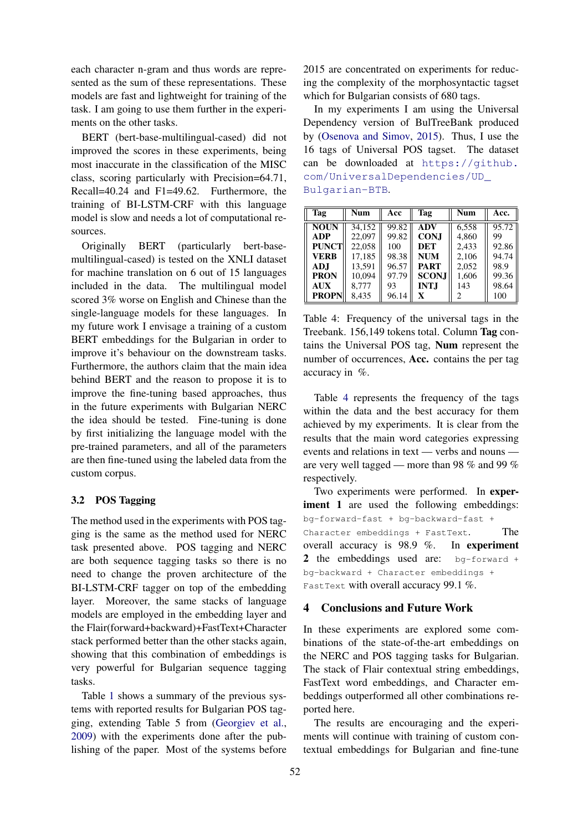each character n-gram and thus words are represented as the sum of these representations. These models are fast and lightweight for training of the task. I am going to use them further in the experiments on the other tasks.

BERT (bert-base-multilingual-cased) did not improved the scores in these experiments, being most inaccurate in the classification of the MISC class, scoring particularly with Precision=64.71, Recall=40.24 and F1=49.62. Furthermore, the training of BI-LSTM-CRF with this language model is slow and needs a lot of computational resources.

Originally BERT (particularly bert-basemultilingual-cased) is tested on the XNLI dataset for machine translation on 6 out of 15 languages included in the data. The multilingual model scored 3% worse on English and Chinese than the single-language models for these languages. In my future work I envisage a training of a custom BERT embeddings for the Bulgarian in order to improve it's behaviour on the downstream tasks. Furthermore, the authors claim that the main idea behind BERT and the reason to propose it is to improve the fine-tuning based approaches, thus in the future experiments with Bulgarian NERC the idea should be tested. Fine-tuning is done by first initializing the language model with the pre-trained parameters, and all of the parameters are then fine-tuned using the labeled data from the custom corpus.

#### 3.2 POS Tagging

The method used in the experiments with POS tagging is the same as the method used for NERC task presented above. POS tagging and NERC are both sequence tagging tasks so there is no need to change the proven architecture of the BI-LSTM-CRF tagger on top of the embedding layer. Moreover, the same stacks of language models are employed in the embedding layer and the Flair(forward+backward)+FastText+Character stack performed better than the other stacks again, showing that this combination of embeddings is very powerful for Bulgarian sequence tagging tasks.

Table [1](#page-2-0) shows a summary of the previous systems with reported results for Bulgarian POS tagging, extending Table 5 from [\(Georgiev et al.,](#page-5-5) [2009\)](#page-5-5) with the experiments done after the publishing of the paper. Most of the systems before 2015 are concentrated on experiments for reducing the complexity of the morphosyntactic tagset which for Bulgarian consists of 680 tags.

In my experiments I am using the Universal Dependency version of BulTreeBank produced by [\(Osenova and Simov,](#page-5-15) [2015\)](#page-5-15). Thus, I use the 16 tags of Universal POS tagset. The dataset can be downloaded at [https://github.](https://github.com/UniversalDependencies/UD_Bulgarian-BTB) [com/UniversalDependencies/UD\\_](https://github.com/UniversalDependencies/UD_Bulgarian-BTB) [Bulgarian-BTB](https://github.com/UniversalDependencies/UD_Bulgarian-BTB).

| Tag          | <b>Num</b> | Acc   | Tag          | <b>Num</b> | Acc.  |
|--------------|------------|-------|--------------|------------|-------|
| <b>NOUN</b>  | 34.152     | 99.82 | <b>ADV</b>   | 6.558      | 95.72 |
| <b>ADP</b>   | 22,097     | 99.82 | <b>CONJ</b>  | 4.860      | 99    |
| <b>PUNCT</b> | 22.058     | 100   | <b>DET</b>   | 2.433      | 92.86 |
| <b>VERB</b>  | 17,185     | 98.38 | <b>NUM</b>   | 2,106      | 94.74 |
| AD.I         | 13.591     | 96.57 | <b>PART</b>  | 2.052      | 98.9  |
| <b>PRON</b>  | 10,094     | 97.79 | <b>SCONJ</b> | 1,606      | 99.36 |
| <b>AUX</b>   | 8.777      | 93    | <b>INTJ</b>  | 143        | 98.64 |
| <b>PROPN</b> | 8.435      | 96.14 | X            | 2          | 100   |

<span id="page-4-0"></span>Table 4: Frequency of the universal tags in the Treebank. 156,149 tokens total. Column Tag contains the Universal POS tag, Num represent the number of occurrences, Acc. contains the per tag accuracy in %.

Table [4](#page-4-0) represents the frequency of the tags within the data and the best accuracy for them achieved by my experiments. It is clear from the results that the main word categories expressing events and relations in text — verbs and nouns are very well tagged — more than 98 % and 99 % respectively.

Two experiments were performed. In experiment 1 are used the following embeddings: bg-forward-fast + bg-backward-fast + Character embeddings + FastText. The overall accuracy is 98.9 %. In experiment 2 the embeddings used are: bg-forward + bg-backward + Character embeddings + FastText with overall accuracy 99.1 %.

#### 4 Conclusions and Future Work

In these experiments are explored some combinations of the state-of-the-art embeddings on the NERC and POS tagging tasks for Bulgarian. The stack of Flair contextual string embeddings, FastText word embeddings, and Character embeddings outperformed all other combinations reported here.

The results are encouraging and the experiments will continue with training of custom contextual embeddings for Bulgarian and fine-tune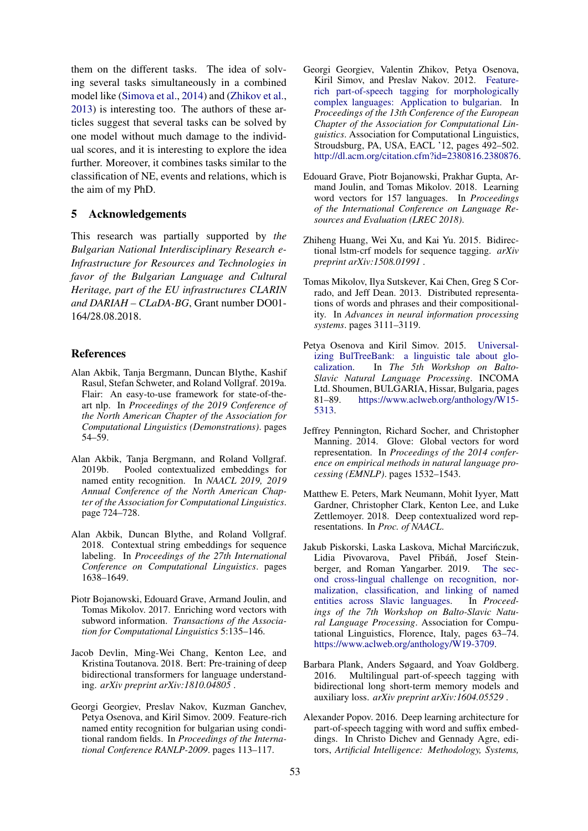them on the different tasks. The idea of solving several tasks simultaneously in a combined model like [\(Simova et al.,](#page-6-8) [2014\)](#page-6-8) and [\(Zhikov et al.,](#page-6-9) [2013\)](#page-6-9) is interesting too. The authors of these articles suggest that several tasks can be solved by one model without much damage to the individual scores, and it is interesting to explore the idea further. Moreover, it combines tasks similar to the classification of NE, events and relations, which is the aim of my PhD.

## 5 Acknowledgements

This research was partially supported by *the Bulgarian National Interdisciplinary Research e-Infrastructure for Resources and Technologies in favor of the Bulgarian Language and Cultural Heritage, part of the EU infrastructures CLARIN and DARIAH – CLaDA-BG*, Grant number DO01- 164/28.08.2018.

#### References

- <span id="page-5-14"></span>Alan Akbik, Tanja Bergmann, Duncan Blythe, Kashif Rasul, Stefan Schweter, and Roland Vollgraf. 2019a. Flair: An easy-to-use framework for state-of-theart nlp. In *Proceedings of the 2019 Conference of the North American Chapter of the Association for Computational Linguistics (Demonstrations)*. pages 54–59.
- <span id="page-5-10"></span>Alan Akbik, Tanja Bergmann, and Roland Vollgraf. 2019b. Pooled contextualized embeddings for named entity recognition. In *NAACL 2019, 2019 Annual Conference of the North American Chapter of the Association for Computational Linguistics*. page 724–728.
- <span id="page-5-3"></span>Alan Akbik, Duncan Blythe, and Roland Vollgraf. 2018. Contextual string embeddings for sequence labeling. In *Proceedings of the 27th International Conference on Computational Linguistics*. pages 1638–1649.
- <span id="page-5-0"></span>Piotr Bojanowski, Edouard Grave, Armand Joulin, and Tomas Mikolov. 2017. Enriching word vectors with subword information. *Transactions of the Association for Computational Linguistics* 5:135–146.
- <span id="page-5-2"></span>Jacob Devlin, Ming-Wei Chang, Kenton Lee, and Kristina Toutanova. 2018. Bert: Pre-training of deep bidirectional transformers for language understanding. *arXiv preprint arXiv:1810.04805* .
- <span id="page-5-5"></span>Georgi Georgiev, Preslav Nakov, Kuzman Ganchev, Petya Osenova, and Kiril Simov. 2009. Feature-rich named entity recognition for bulgarian using conditional random fields. In *Proceedings of the International Conference RANLP-2009*. pages 113–117.
- <span id="page-5-7"></span>Georgi Georgiev, Valentin Zhikov, Petya Osenova, Kiril Simov, and Preslav Nakov. 2012. [Feature](http://dl.acm.org/citation.cfm?id=2380816.2380876)[rich part-of-speech tagging for morphologically](http://dl.acm.org/citation.cfm?id=2380816.2380876) [complex languages: Application to bulgarian.](http://dl.acm.org/citation.cfm?id=2380816.2380876) In *Proceedings of the 13th Conference of the European Chapter of the Association for Computational Linguistics*. Association for Computational Linguistics, Stroudsburg, PA, USA, EACL '12, pages 492–502. [http://dl.acm.org/citation.cfm?id=2380816.2380876.](http://dl.acm.org/citation.cfm?id=2380816.2380876)
- <span id="page-5-11"></span>Edouard Grave, Piotr Bojanowski, Prakhar Gupta, Armand Joulin, and Tomas Mikolov. 2018. Learning word vectors for 157 languages. In *Proceedings of the International Conference on Language Resources and Evaluation (LREC 2018)*.
- <span id="page-5-4"></span>Zhiheng Huang, Wei Xu, and Kai Yu. 2015. Bidirectional lstm-crf models for sequence tagging. *arXiv preprint arXiv:1508.01991* .
- <span id="page-5-13"></span>Tomas Mikolov, Ilya Sutskever, Kai Chen, Greg S Corrado, and Jeff Dean. 2013. Distributed representations of words and phrases and their compositionality. In *Advances in neural information processing systems*. pages 3111–3119.
- <span id="page-5-15"></span>Petya Osenova and Kiril Simov. 2015. [Universal](https://www.aclweb.org/anthology/W15-5313)[izing BulTreeBank: a linguistic tale about glo](https://www.aclweb.org/anthology/W15-5313)[calization.](https://www.aclweb.org/anthology/W15-5313) In *The 5th Workshop on Balto-Slavic Natural Language Processing*. INCOMA Ltd. Shoumen, BULGARIA, Hissar, Bulgaria, pages<br>81–89. https://www.aclweb.org/anthology/W15[https://www.aclweb.org/anthology/W15-](https://www.aclweb.org/anthology/W15-5313) [5313.](https://www.aclweb.org/anthology/W15-5313)
- <span id="page-5-12"></span>Jeffrey Pennington, Richard Socher, and Christopher Manning. 2014. Glove: Global vectors for word representation. In *Proceedings of the 2014 conference on empirical methods in natural language processing (EMNLP)*. pages 1532–1543.
- <span id="page-5-1"></span>Matthew E. Peters, Mark Neumann, Mohit Iyyer, Matt Gardner, Christopher Clark, Kenton Lee, and Luke Zettlemoyer. 2018. Deep contextualized word representations. In *Proc. of NAACL*.
- <span id="page-5-6"></span>Jakub Piskorski, Laska Laskova, Michał Marcinczuk, ´ Lidia Pivovarova, Pavel Přibáň, Josef Steinberger, and Roman Yangarber. 2019. [The sec](https://www.aclweb.org/anthology/W19-3709)[ond cross-lingual challenge on recognition, nor](https://www.aclweb.org/anthology/W19-3709)[malization, classification, and linking of named](https://www.aclweb.org/anthology/W19-3709) [entities across Slavic languages.](https://www.aclweb.org/anthology/W19-3709) In *Proceedings of the 7th Workshop on Balto-Slavic Natural Language Processing*. Association for Computational Linguistics, Florence, Italy, pages 63–74. [https://www.aclweb.org/anthology/W19-3709.](https://www.aclweb.org/anthology/W19-3709)
- <span id="page-5-9"></span>Barbara Plank, Anders Søgaard, and Yoav Goldberg. 2016. Multilingual part-of-speech tagging with bidirectional long short-term memory models and auxiliary loss. *arXiv preprint arXiv:1604.05529* .
- <span id="page-5-8"></span>Alexander Popov. 2016. Deep learning architecture for part-of-speech tagging with word and suffix embeddings. In Christo Dichev and Gennady Agre, editors, *Artificial Intelligence: Methodology, Systems,*